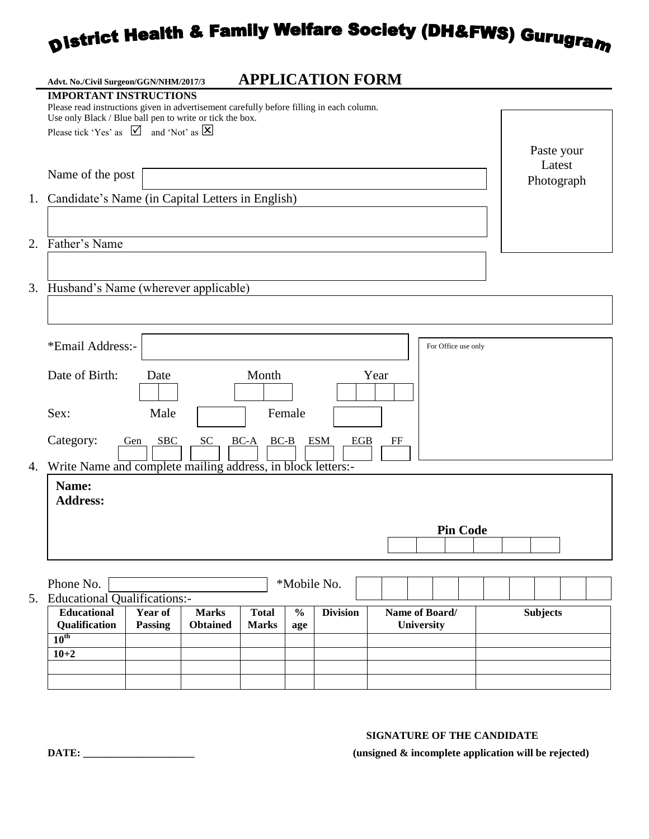# **District Health & Family Welfare Society (DH&FWS) Gurugram**

|    | Advt. No./Civil Surgeon/GGN/NHM/2017/3                                                                                                                                                | <b>APPLICATION FORM</b>                              |                 |                                     |                 |  |
|----|---------------------------------------------------------------------------------------------------------------------------------------------------------------------------------------|------------------------------------------------------|-----------------|-------------------------------------|-----------------|--|
|    | <b>IMPORTANT INSTRUCTIONS</b><br>Please read instructions given in advertisement carefully before filling in each column.<br>Use only Black / Blue ball pen to write or tick the box. |                                                      |                 |                                     |                 |  |
|    | Please tick 'Yes' as $\[\n\bigvee\]$ and 'Not' as $\[\mathbf{\times}\]$                                                                                                               |                                                      |                 |                                     | Paste your      |  |
|    | Name of the post                                                                                                                                                                      | Latest<br>Photograph                                 |                 |                                     |                 |  |
|    | 1. Candidate's Name (in Capital Letters in English)                                                                                                                                   |                                                      |                 |                                     |                 |  |
|    | 2. Father's Name                                                                                                                                                                      |                                                      |                 |                                     |                 |  |
|    | 3. Husband's Name (wherever applicable)                                                                                                                                               |                                                      |                 |                                     |                 |  |
|    | *Email Address:-                                                                                                                                                                      |                                                      |                 | For Office use only                 |                 |  |
|    | Date of Birth:<br>Date<br>Sex:                                                                                                                                                        | Month<br>Female                                      |                 | Year                                |                 |  |
|    | Male<br>Category:<br>SBC<br>SC<br><b>ESM</b><br>EGB<br>$BC-A$<br>$BC-B$<br>FF<br>Gen                                                                                                  |                                                      |                 |                                     |                 |  |
| 4. | Write Name and complete mailing address, in block letters:-<br>Name:<br><b>Address:</b>                                                                                               |                                                      |                 |                                     |                 |  |
|    |                                                                                                                                                                                       | <b>Pin Code</b>                                      |                 |                                     |                 |  |
|    | Phone No.                                                                                                                                                                             | *Mobile No.                                          |                 |                                     |                 |  |
|    | 5. Educational Qualifications:-<br><b>Educational</b><br>Year of<br><b>Marks</b><br>Qualification<br><b>Passing</b><br><b>Obtained</b>                                                | $\frac{0}{0}$<br><b>Total</b><br><b>Marks</b><br>age | <b>Division</b> | Name of Board/<br><b>University</b> | <b>Subjects</b> |  |
|    | $10^{\text{th}}$<br>$10 + 2$                                                                                                                                                          |                                                      |                 |                                     |                 |  |
|    |                                                                                                                                                                                       |                                                      |                 |                                     |                 |  |

#### **SIGNATURE OF THE CANDIDATE**

**DATE: \_\_\_\_\_\_\_\_\_\_\_\_\_\_\_\_\_\_\_\_\_ (unsigned & incomplete application will be rejected)**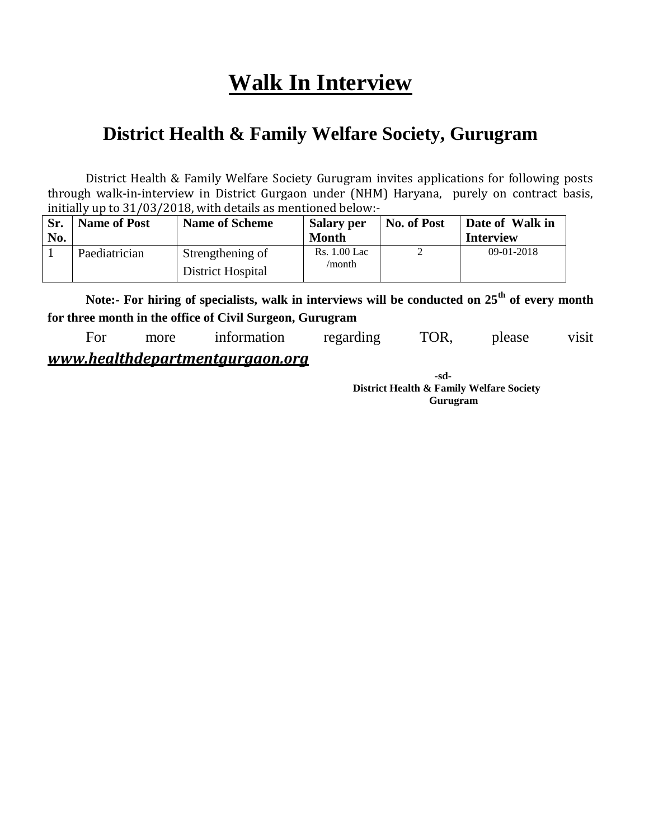## **Walk In Interview**

## **District Health & Family Welfare Society, Gurugram**

District Health & Family Welfare Society Gurugram invites applications for following posts through walk-in-interview in District Gurgaon under (NHM) Haryana, purely on contract basis, initially up to 31/03/2018, with details as mentioned below:-

| Sr.<br>No. | <b>Name of Post</b> | <b>Name of Scheme</b>                 | <b>Salary per</b><br><b>Month</b> | No. of Post | Date of Walk in<br><b>Interview</b> |
|------------|---------------------|---------------------------------------|-----------------------------------|-------------|-------------------------------------|
|            | Paediatrician       | Strengthening of<br>District Hospital | <b>Rs.</b> 1.00 Lac<br>/month     |             | $09-01-2018$                        |

**Note:- For hiring of specialists, walk in interviews will be conducted on 25th of every month for three month in the office of Civil Surgeon, Gurugram**

For more information regarding TOR, please visit *www.healthdepartmentgurgaon.org*

> **-sd-District Health & Family Welfare Society Gurugram**